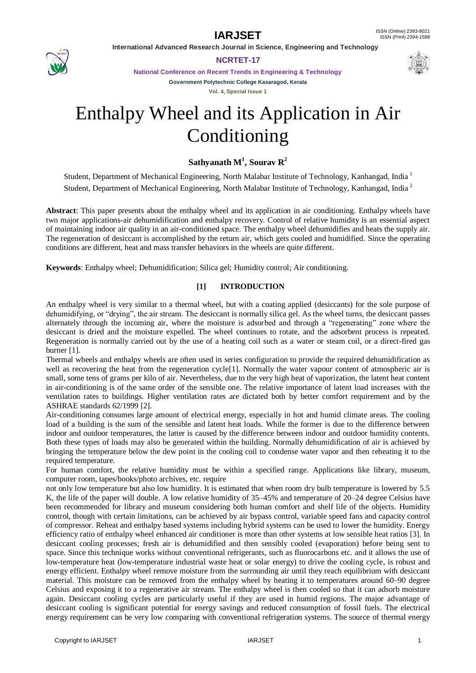

**NCRTET-17**

**National Conference on Recent Trends in Engineering & Technology Government Polytechnic College Kasaragod, Kerala**

**Vol. 4, Special Issue 1**

# Enthalpy Wheel and its Application in Air Conditioning

## **Sathyanath M<sup>1</sup> , Sourav R<sup>2</sup>**

Student, Department of Mechanical Engineering, North Malabar Institute of Technology, Kanhangad, India <sup>1</sup> Student, Department of Mechanical Engineering, North Malabar Institute of Technology, Kanhangad, India <sup>2</sup>

**Abstract**: This paper presents about the enthalpy wheel and its application in air conditioning. Enthalpy wheels have two major applications-air dehumidification and enthalpy recovery. Control of relative humidity is an essential aspect of maintaining indoor air quality in an air-conditioned space. The enthalpy wheel dehumidifies and heats the supply air. The regeneration of desiccant is accomplished by the return air, which gets cooled and humidified. Since the operating conditions are different, heat and mass transfer behaviors in the wheels are quite different.

**Keywords**: Enthalpy wheel; Dehumidification; Silica gel; Humidity control; Air conditioning.

### **[1] INTRODUCTION**

An enthalpy wheel is very similar to a thermal wheel, but with a coating applied (desiccants) for the sole purpose of dehumidifying, or "drying", the air stream. The desiccant is normally silica gel. As the wheel turns, the desiccant passes alternately through the incoming air, where the moisture is adsorbed and through a "regenerating" zone where the desiccant is dried and the moisture expelled. The wheel continues to rotate, and the adsorbent process is repeated. Regeneration is normally carried out by the use of a heating coil such as a water or steam coil, or a direct-fired gas burner [1].

Thermal wheels and enthalpy wheels are often used in series configuration to provide the required dehumidification as well as recovering the heat from the regeneration cycle[1]. Normally the water vapour content of atmospheric air is small, some tens of grams per kilo of air. Nevertheless, due to the very high heat of vaporization, the latent heat content in air-conditioning is of the same order of the sensible one. The relative importance of latent load increases with the ventilation rates to buildings. Higher ventilation rates are dictated both by better comfort requirement and by the ASHRAE standards 62/1999 [2].

Air-conditioning consumes large amount of electrical energy, especially in hot and humid climate areas. The cooling load of a building is the sum of the sensible and latent heat loads. While the former is due to the difference between indoor and outdoor temperatures, the latter is caused by the difference between indoor and outdoor humidity contents. Both these types of loads may also be generated within the building. Normally dehumidification of air is achieved by bringing the temperature below the dew point in the cooling coil to condense water vapor and then reheating it to the required temperature.

For human comfort, the relative humidity must be within a specified range. Applications like library, museum, computer room, tapes/books/photo archives, etc. require

not only low temperature but also low humidity. It is estimated that when room dry bulb temperature is lowered by 5.5 K, the life of the paper will double. A low relative humidity of 35–45% and temperature of 20–24 degree Celsius have been recommended for library and museum considering both human comfort and shelf life of the objects. Humidity control, though with certain limitations, can be achieved by air bypass control, variable speed fans and capacity control of compressor. Reheat and enthalpy based systems including hybrid systems can be used to lower the humidity. Energy efficiency ratio of enthalpy wheel enhanced air conditioner is more than other systems at low sensible heat ratios [3]. In desiccant cooling processes; fresh air is dehumidified and then sensibly cooled (evaporation) before being sent to space. Since this technique works without conventional refrigerants, such as fluorocarbons etc. and it allows the use of low-temperature heat (low-temperature industrial waste heat or solar energy) to drive the cooling cycle, is robust and energy efficient. Enthalpy wheel remove moisture from the surrounding air until they reach equilibrium with desiccant material. This moisture can be removed from the enthalpy wheel by heating it to temperatures around 60–90 degree Celsius and exposing it to a regenerative air stream. The enthalpy wheel is then cooled so that it can adsorb moisture again. Desiccant cooling cycles are particularly useful if they are used in humid regions. The major advantage of desiccant cooling is significant potential for energy savings and reduced consumption of fossil fuels. The electrical energy requirement can be very low comparing with conventional refrigeration systems. The source of thermal energy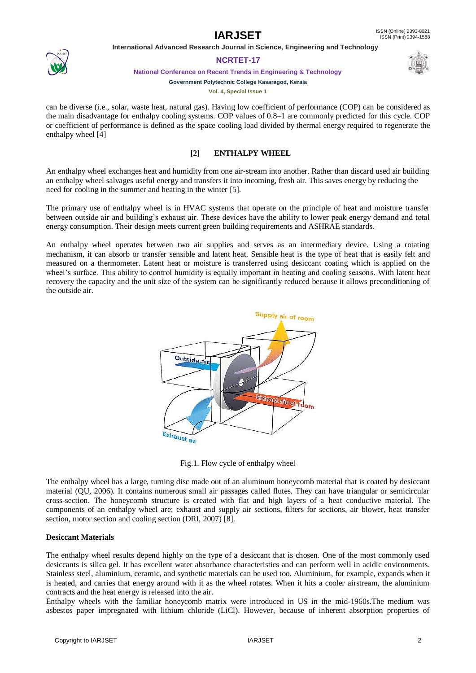#### **IARJSET** ISSN (Online) 2393-8021 ISSN (Print) 2394-1588

 **International Advanced Research Journal in Science, Engineering and Technology**



### **NCRTET-17**

**National Conference on Recent Trends in Engineering & Technology**



**Government Polytechnic College Kasaragod, Kerala Vol. 4, Special Issue 1**

can be diverse (i.e., solar, waste heat, natural gas). Having low coefficient of performance (COP) can be considered as the main disadvantage for enthalpy cooling systems. COP values of 0.8–1 are commonly predicted for this cycle. COP or coefficient of performance is defined as the space cooling load divided by thermal energy required to regenerate the enthalpy wheel [4]

### **[2] ENTHALPY WHEEL**

An enthalpy wheel exchanges heat and humidity from one air-stream into another. Rather than discard used air building an enthalpy wheel salvages useful energy and transfers it into incoming, fresh air. This saves energy by reducing the need for cooling in the summer and heating in the winter [5].

The primary use of enthalpy wheel is in HVAC systems that operate on the principle of heat and moisture transfer between outside air and building's exhaust air. These devices have the ability to lower peak energy demand and total energy consumption. Their design meets current green building requirements and ASHRAE standards.

An enthalpy wheel operates between two air supplies and serves as an intermediary device. Using a rotating mechanism, it can absorb or transfer sensible and latent heat. Sensible heat is the type of heat that is easily felt and measured on a thermometer. Latent heat or moisture is transferred using desiccant coating which is applied on the wheel's surface. This ability to control humidity is equally important in heating and cooling seasons. With latent heat recovery the capacity and the unit size of the system can be significantly reduced because it allows preconditioning of the outside air.



Fig.1. Flow cycle of enthalpy wheel

The enthalpy wheel has a large, turning disc made out of an aluminum honeycomb material that is coated by desiccant material (QU, 2006). It contains numerous small air passages called flutes. They can have triangular or semicircular cross-section. The honeycomb structure is created with flat and high layers of a heat conductive material. The components of an enthalpy wheel are; exhaust and supply air sections, filters for sections, air blower, heat transfer section, motor section and cooling section (DRI, 2007) [8].

### **Desiccant Materials**

The enthalpy wheel results depend highly on the type of a desiccant that is chosen. One of the most commonly used desiccants is silica gel. It has excellent water absorbance characteristics and can perform well in acidic environments. Stainless steel, aluminium, ceramic, and synthetic materials can be used too. Aluminium, for example, expands when it is heated, and carries that energy around with it as the wheel rotates. When it hits a cooler airstream, the aluminium contracts and the heat energy is released into the air.

Enthalpy wheels with the familiar honeycomb matrix were introduced in US in the mid-1960s.The medium was asbestos paper impregnated with lithium chloride (LiCl). However, because of inherent absorption properties of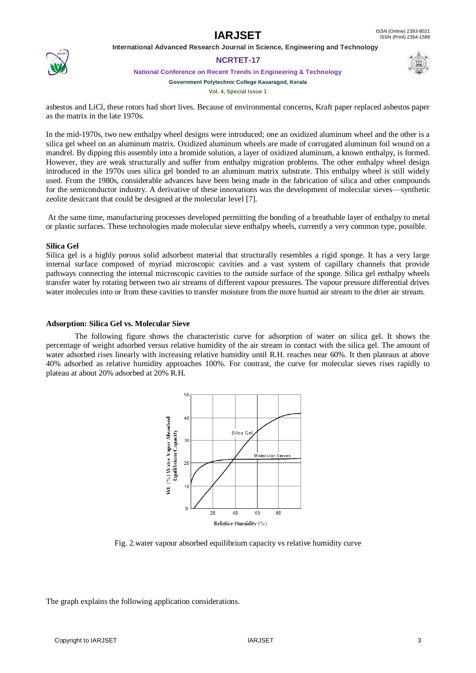

### **NCRTET-17**

**National Conference on Recent Trends in Engineering & Technology**



**Vol. 4, Special Issue 1**

asbestos and LiCl, these rotors had short lives. Because of environmental concerns, Kraft paper replaced asbestos paper as the matrix in the late 1970s.

In the mid-1970s, two new enthalpy wheel designs were introduced; one an oxidized aluminum wheel and the other is a silica gel wheel on an aluminum matrix. Oxidized aluminum wheels are made of corrugated aluminum foil wound on a mandrel. By dipping this assembly into a bromide solution, a layer of oxidized aluminum, a known enthalpy, is formed. However, they are weak structurally and suffer from enthalpy migration problems. The other enthalpy wheel design introduced in the 1970s uses silica gel bonded to an aluminum matrix substrate. This enthalpy wheel is still widely used. From the 1980s, considerable advances have been being made in the fabrication of silica and other compounds for the semiconductor industry. A derivative of these innovations was the development of molecular sieves—synthetic zeolite desiccant that could be designed at the molecular level [7].

At the same time, manufacturing processes developed permitting the bonding of a breathable layer of enthalpy to metal or plastic surfaces. These technologies made molecular sieve enthalpy wheels, currently a very common type, possible.

### **Silica Gel**

Silica gel is a highly porous solid adsorbent material that structurally resembles a rigid sponge. It has a very large internal surface composed of myriad microscopic cavities and a vast system of capillary channels that provide pathways connecting the internal microscopic cavities to the outside surface of the sponge. Silica gel enthalpy wheels transfer water by rotating between two air streams of different vapour pressures. The vapour pressure differential drives water molecules into or from these cavities to transfer moisture from the more humid air stream to the drier air stream.

#### **Adsorption: Silica Gel vs. Molecular Sieve**

The following figure shows the characteristic curve for adsorption of water on silica gel. It shows the percentage of weight adsorbed versus relative humidity of the air stream in contact with the silica gel. The amount of water adsorbed rises linearly with increasing relative humidity until R.H. reaches near 60%. It then plateaus at above 40% adsorbed as relative humidity approaches 100%. For contrast, the curve for molecular sieves rises rapidly to plateau at about 20% adsorbed at 20% R.H.



Fig. 2.water vapour absorbed equilibrium capacity vs relative humidity curve

The graph explains the following application considerations.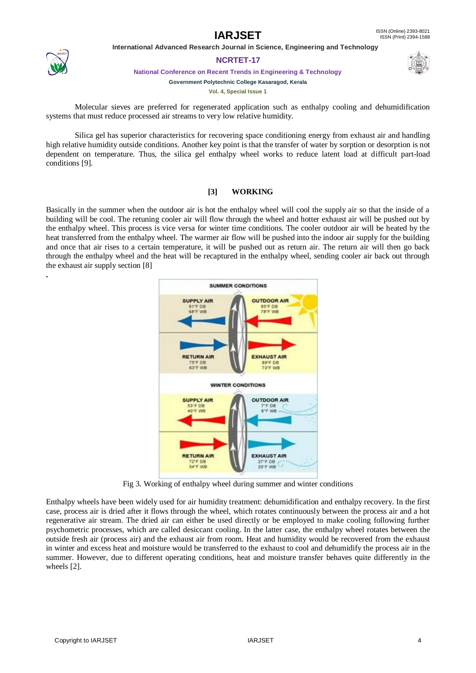

**.**

### **NCRTET-17**

**National Conference on Recent Trends in Engineering & Technology**

#### **Government Polytechnic College Kasaragod, Kerala**

**Vol. 4, Special Issue 1**

Molecular sieves are preferred for regenerated application such as enthalpy cooling and dehumidification systems that must reduce processed air streams to very low relative humidity.

Silica gel has superior characteristics for recovering space conditioning energy from exhaust air and handling high relative humidity outside conditions. Another key point is that the transfer of water by sorption or desorption is not dependent on temperature. Thus, the silica gel enthalpy wheel works to reduce latent load at difficult part-load conditions [9].

### **[3] WORKING**

Basically in the summer when the outdoor air is hot the enthalpy wheel will cool the supply air so that the inside of a building will be cool. The retuning cooler air will flow through the wheel and hotter exhaust air will be pushed out by the enthalpy wheel. This process is vice versa for winter time conditions. The cooler outdoor air will be heated by the heat transferred from the enthalpy wheel. The warmer air flow will be pushed into the indoor air supply for the building and once that air rises to a certain temperature, it will be pushed out as return air. The return air will then go back through the enthalpy wheel and the heat will be recaptured in the enthalpy wheel, sending cooler air back out through the exhaust air supply section [8]



Fig 3. Working of enthalpy wheel during summer and winter conditions

Enthalpy wheels have been widely used for air humidity treatment: dehumidification and enthalpy recovery. In the first case, process air is dried after it flows through the wheel, which rotates continuously between the process air and a hot regenerative air stream. The dried air can either be used directly or be employed to make cooling following further psychometric processes, which are called desiccant cooling. In the latter case, the enthalpy wheel rotates between the outside fresh air (process air) and the exhaust air from room. Heat and humidity would be recovered from the exhaust in winter and excess heat and moisture would be transferred to the exhaust to cool and dehumidify the process air in the summer. However, due to different operating conditions, heat and moisture transfer behaves quite differently in the wheels [2].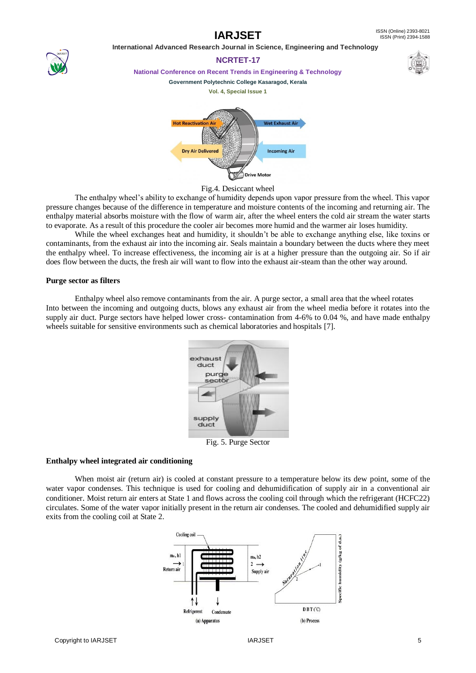



**NCRTET-17 National Conference on Recent Trends in Engineering & Technology**

#### **Government Polytechnic College Kasaragod, Kerala**





Fig.4. Desiccant wheel

The enthalpy wheel's ability to exchange of humidity depends upon vapor pressure from the wheel. This vapor pressure changes because of the difference in temperature and moisture contents of the incoming and returning air. The enthalpy material absorbs moisture with the flow of warm air, after the wheel enters the cold air stream the water starts to evaporate. As a result of this procedure the cooler air becomes more humid and the warmer air loses humidity.

While the wheel exchanges heat and humidity, it shouldn't be able to exchange anything else, like toxins or contaminants, from the exhaust air into the incoming air. Seals maintain a boundary between the ducts where they meet the enthalpy wheel. To increase effectiveness, the incoming air is at a higher pressure than the outgoing air. So if air does flow between the ducts, the fresh air will want to flow into the exhaust air-steam than the other way around.

#### **Purge sector as filters**

Enthalpy wheel also remove contaminants from the air. A purge sector, a small area that the wheel rotates Into between the incoming and outgoing ducts, blows any exhaust air from the wheel media before it rotates into the supply air duct. Purge sectors have helped lower cross- contamination from 4-6% to 0.04 %, and have made enthalpy wheels suitable for sensitive environments such as chemical laboratories and hospitals [7].



Fig. 5. Purge Sector

### **Enthalpy wheel integrated air conditioning**

When moist air (return air) is cooled at constant pressure to a temperature below its dew point, some of the water vapor condenses. This technique is used for cooling and dehumidification of supply air in a conventional air conditioner. Moist return air enters at State 1 and flows across the cooling coil through which the refrigerant (HCFC22) circulates. Some of the water vapor initially present in the return air condenses. The cooled and dehumidified supply air exits from the cooling coil at State 2.

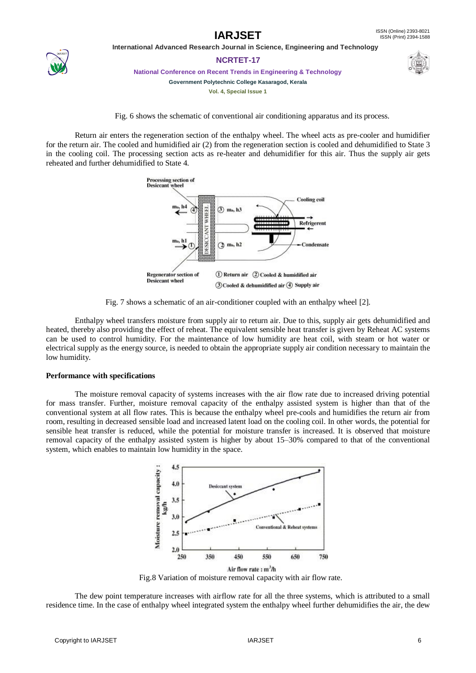

**NCRTET-17**

**National Conference on Recent Trends in Engineering & Technology**

**Government Polytechnic College Kasaragod, Kerala**

**Vol. 4, Special Issue 1**



Fig. 6 shows the schematic of conventional air conditioning apparatus and its process.

Return air enters the regeneration section of the enthalpy wheel. The wheel acts as pre-cooler and humidifier for the return air. The cooled and humidified air (2) from the regeneration section is cooled and dehumidified to State 3 in the cooling coil. The processing section acts as re-heater and dehumidifier for this air. Thus the supply air gets reheated and further dehumidified to State 4.



Fig. 7 shows a schematic of an air-conditioner coupled with an enthalpy wheel [2].

Enthalpy wheel transfers moisture from supply air to return air. Due to this, supply air gets dehumidified and heated, thereby also providing the effect of reheat. The equivalent sensible heat transfer is given by Reheat AC systems can be used to control humidity. For the maintenance of low humidity are heat coil, with steam or hot water or electrical supply as the energy source, is needed to obtain the appropriate supply air condition necessary to maintain the low humidity.

### **Performance with specifications**

The moisture removal capacity of systems increases with the air flow rate due to increased driving potential for mass transfer. Further, moisture removal capacity of the enthalpy assisted system is higher than that of the conventional system at all flow rates. This is because the enthalpy wheel pre-cools and humidifies the return air from room, resulting in decreased sensible load and increased latent load on the cooling coil. In other words, the potential for sensible heat transfer is reduced, while the potential for moisture transfer is increased. It is observed that moisture removal capacity of the enthalpy assisted system is higher by about 15–30% compared to that of the conventional system, which enables to maintain low humidity in the space.



Fig.8 Variation of moisture removal capacity with air flow rate.

The dew point temperature increases with airflow rate for all the three systems, which is attributed to a small residence time. In the case of enthalpy wheel integrated system the enthalpy wheel further dehumidifies the air, the dew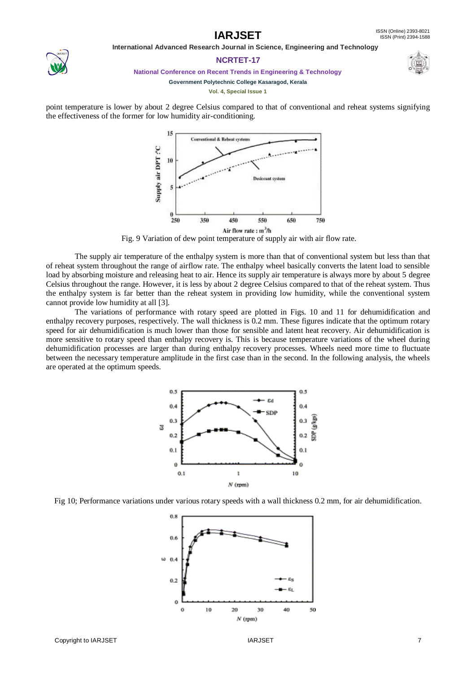

### **NCRTET-17**



**National Conference on Recent Trends in Engineering & Technology**

**Government Polytechnic College Kasaragod, Kerala Vol. 4, Special Issue 1**

point temperature is lower by about 2 degree Celsius compared to that of conventional and reheat systems signifying the effectiveness of the former for low humidity air-conditioning.



Fig. 9 Variation of dew point temperature of supply air with air flow rate.

The supply air temperature of the enthalpy system is more than that of conventional system but less than that of reheat system throughout the range of airflow rate. The enthalpy wheel basically converts the latent load to sensible load by absorbing moisture and releasing heat to air. Hence its supply air temperature is always more by about 5 degree Celsius throughout the range. However, it is less by about 2 degree Celsius compared to that of the reheat system. Thus the enthalpy system is far better than the reheat system in providing low humidity, while the conventional system cannot provide low humidity at all [3].

The variations of performance with rotary speed are plotted in Figs. 10 and 11 for dehumidification and enthalpy recovery purposes, respectively. The wall thickness is 0.2 mm. These figures indicate that the optimum rotary speed for air dehumidification is much lower than those for sensible and latent heat recovery. Air dehumidification is more sensitive to rotary speed than enthalpy recovery is. This is because temperature variations of the wheel during dehumidification processes are larger than during enthalpy recovery processes. Wheels need more time to fluctuate between the necessary temperature amplitude in the first case than in the second. In the following analysis, the wheels are operated at the optimum speeds.